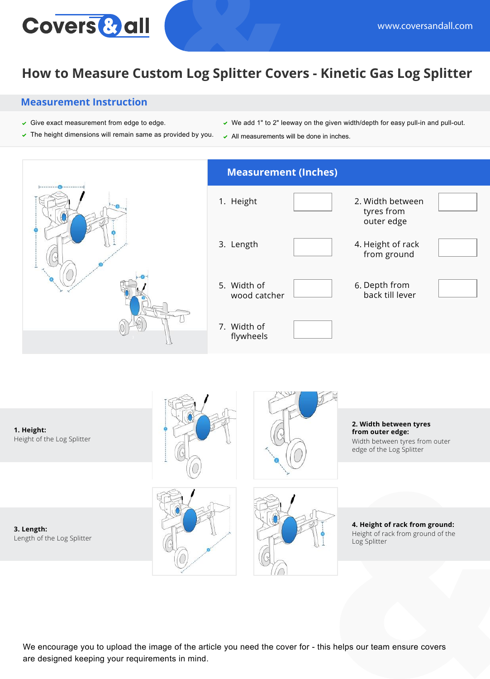

## **How to Measure Custom Log Splitter Covers - Kinetic Gas Log Splitter**

## **Measurement Instruction**

- $\checkmark$  Give exact measurement from edge to edge.
- $\triangledown$  The height dimensions will remain same as provided by you.
- $\vee$  We add 1" to 2" leeway on the given width/depth for easy pull-in and pull-out.
- $\sim$  All measurements will be done in inches.



**3. Length:** Length of the Log Splitter





**4. Height of rack from ground:** Height of rack from ground of the Log Splitter

We encourage you to upload the image of the article you need the cover for - this helps our team ensure covers are designed keeping your requirements in mind.